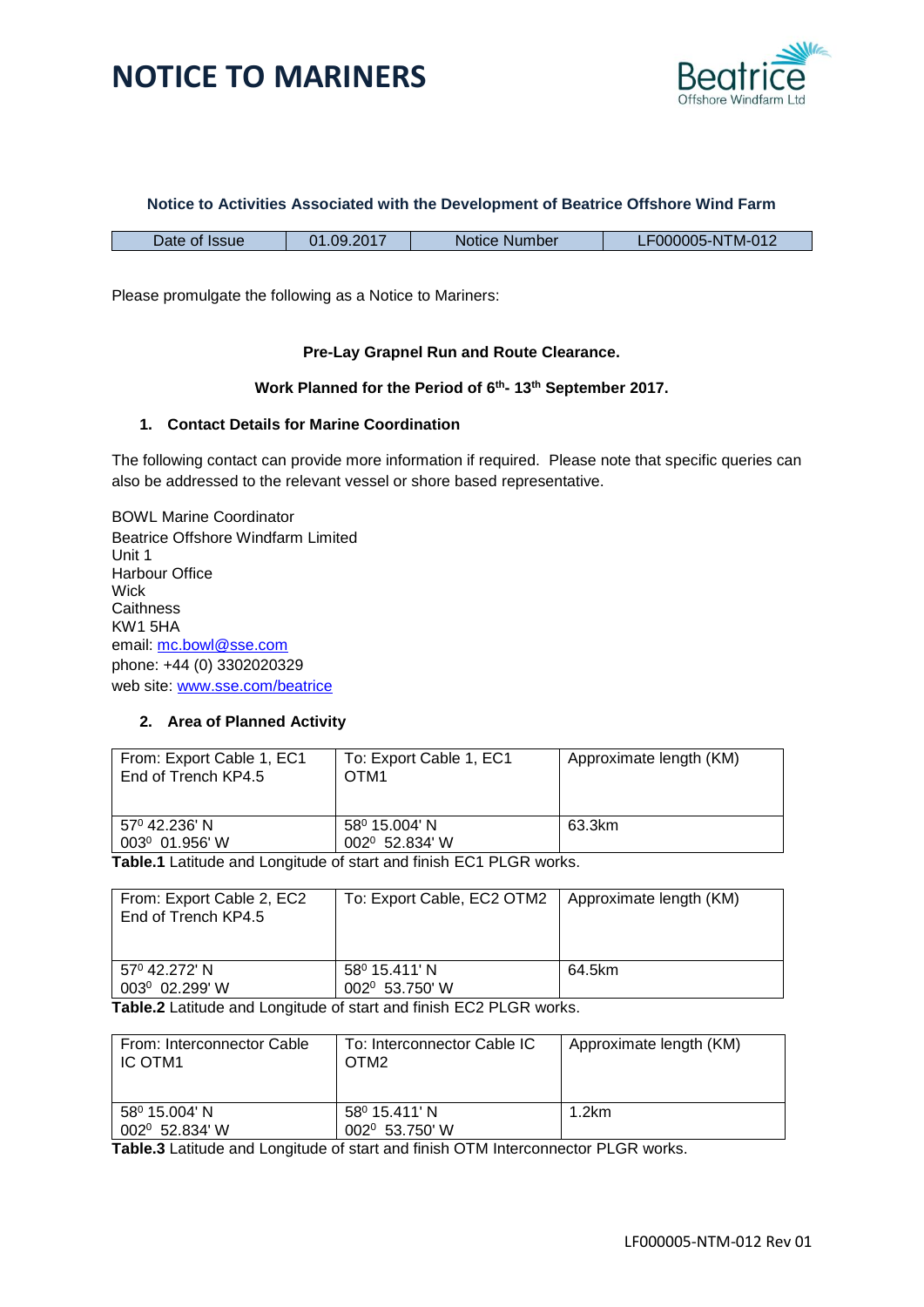



#### **Notice to Activities Associated with the Development of Beatrice Offshore Wind Farm**

| Date of Issue | 01.09.2017 | Notice Number | LF000005-NTM-012 |
|---------------|------------|---------------|------------------|

Please promulgate the following as a Notice to Mariners:

#### **Pre-Lay Grapnel Run and Route Clearance.**

#### **Work Planned for the Period of 6 th - 13th September 2017.**

#### **1. Contact Details for Marine Coordination**

The following contact can provide more information if required. Please note that specific queries can also be addressed to the relevant vessel or shore based representative.

BOWL Marine Coordinator Beatrice Offshore Windfarm Limited Unit 1 Harbour Office **Wick Caithness** KW1 5HA email: [mc.bowl@sse.com](mailto:mc.bowl@sse.com) phone: +44 (0) 3302020329 web site: [www.sse.com/beatrice](http://www.sse.com/beatrice)

#### **2. Area of Planned Activity**

| From: Export Cable 1, EC1<br>End of Trench KP4.5 | To: Export Cable 1, EC1<br>OTM <sub>1</sub> | Approximate length (KM) |
|--------------------------------------------------|---------------------------------------------|-------------------------|
| 57º 42.236' N<br>003 <sup>0</sup> 01.956' W      | 58º 15.004' N<br>002 <sup>0</sup> 52.834' W | 63.3km                  |

**Table.1** Latitude and Longitude of start and finish EC1 PLGR works.

| From: Export Cable 2, EC2<br>End of Trench KP4.5 | To: Export Cable, EC2 OTM2                  | Approximate length (KM) |
|--------------------------------------------------|---------------------------------------------|-------------------------|
| 57 <sup>0</sup> 42.272' N<br>$003^0$ 02.299' W   | 58º 15.411' N<br>002 <sup>0</sup> 53.750' W | 64.5km                  |

**Table.2** Latitude and Longitude of start and finish EC2 PLGR works.

| From: Interconnector Cable<br>IC OTM1 | To: Interconnector Cable IC<br>OTM <sub>2</sub>         | Approximate length (KM) |
|---------------------------------------|---------------------------------------------------------|-------------------------|
| 58º 15.004' N<br>002º 52.834' W       | 58 <sup>0</sup> 15.411' N<br>002 <sup>0</sup> 53.750' W | 1.2km                   |

**Table.3** Latitude and Longitude of start and finish OTM Interconnector PLGR works.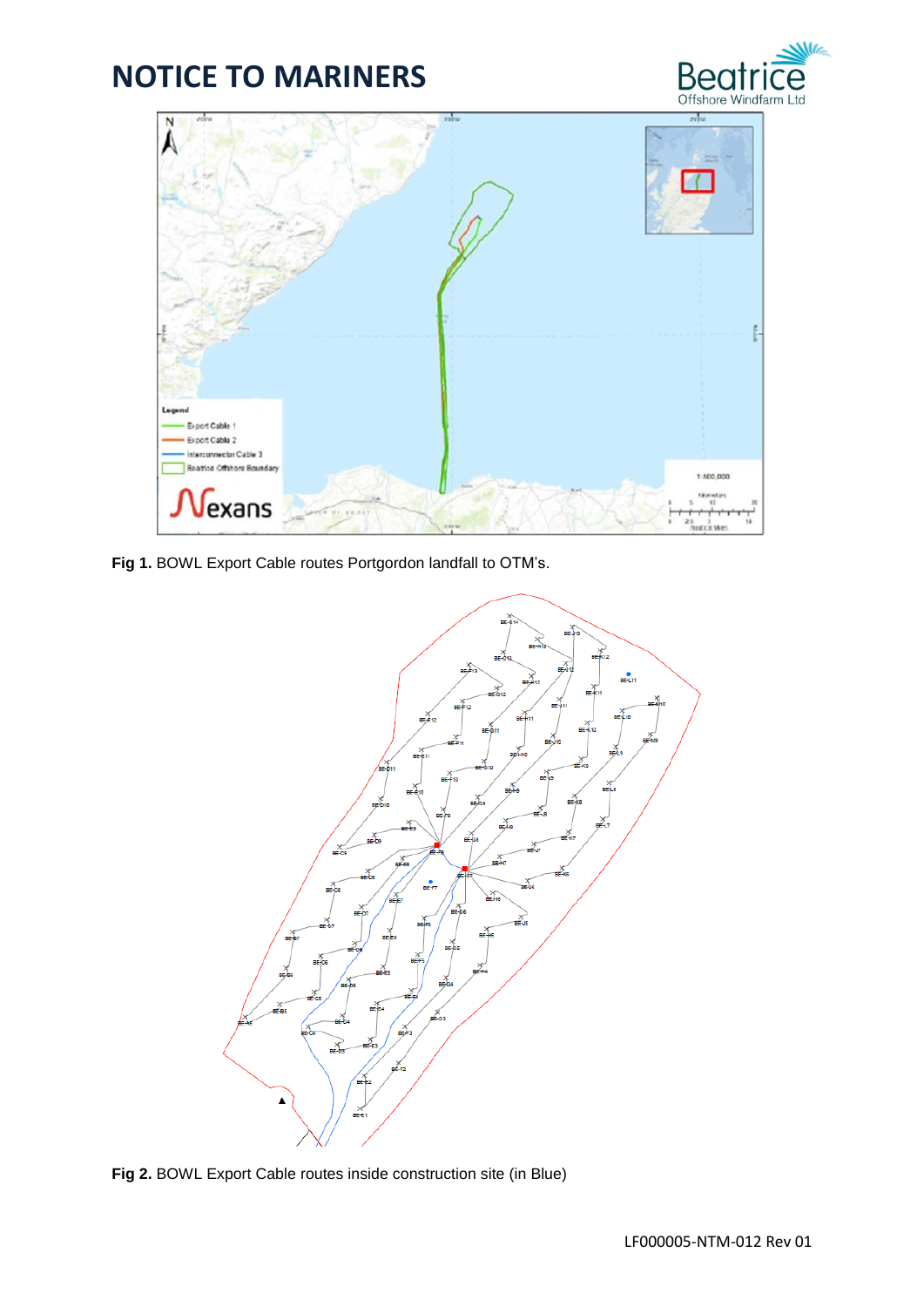



**Fig 1.** BOWL Export Cable routes Portgordon landfall to OTM's.



**Fig 2.** BOWL Export Cable routes inside construction site (in Blue)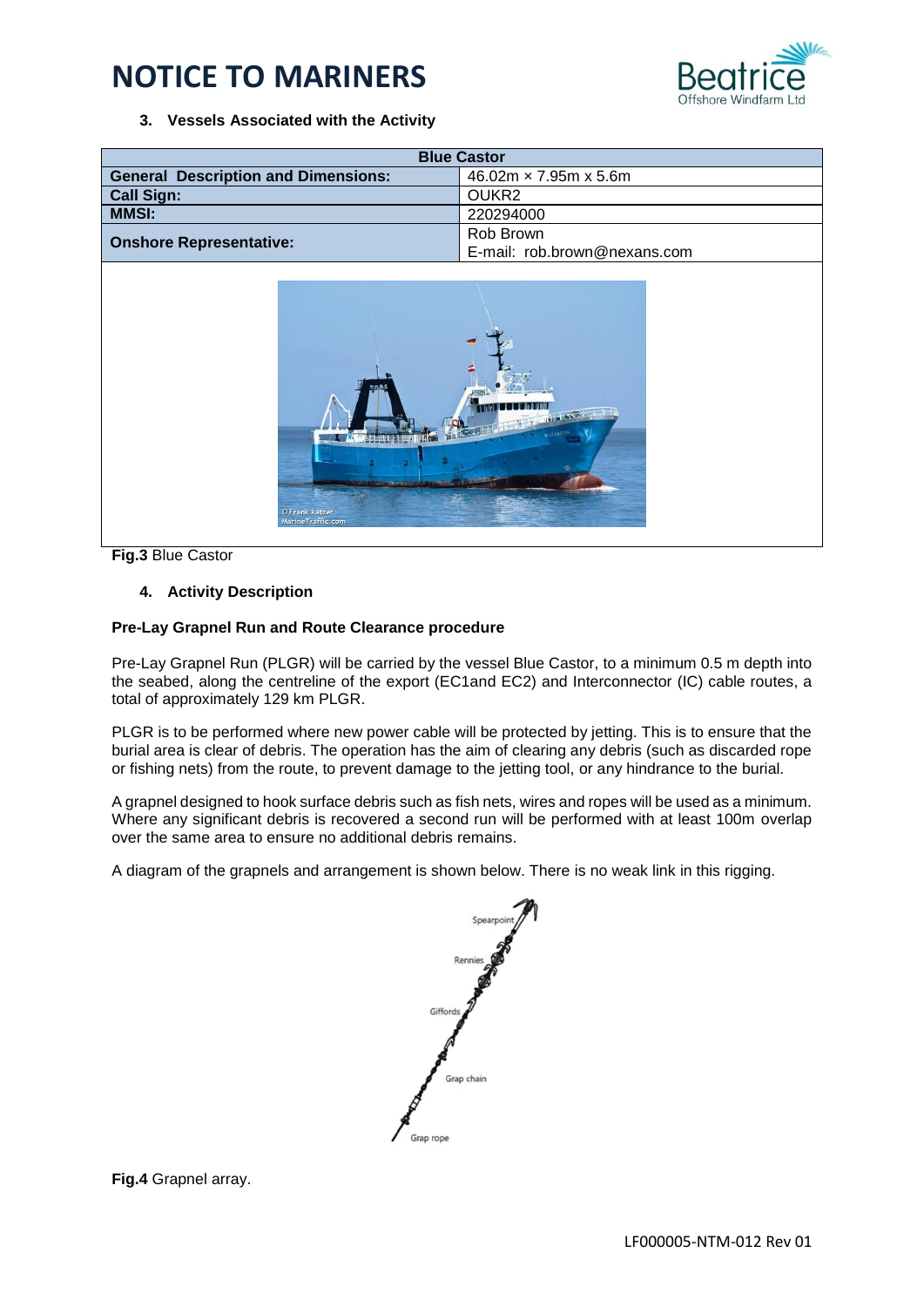

### **3. Vessels Associated with the Activity**

| <b>Blue Castor</b>                         |                                   |  |  |  |
|--------------------------------------------|-----------------------------------|--|--|--|
| <b>General Description and Dimensions:</b> | $46.02m \times 7.95m \times 5.6m$ |  |  |  |
| <b>Call Sign:</b>                          | OUKR <sub>2</sub>                 |  |  |  |
| <b>MMSI:</b>                               | 220294000                         |  |  |  |
|                                            | Rob Brown                         |  |  |  |
| <b>Onshore Representative:</b>             | E-mail: rob.brown@nexans.com      |  |  |  |



**Fig.3** Blue Castor

#### **4. Activity Description**

#### **Pre-Lay Grapnel Run and Route Clearance procedure**

Pre-Lay Grapnel Run (PLGR) will be carried by the vessel Blue Castor, to a minimum 0.5 m depth into the seabed, along the centreline of the export (EC1and EC2) and Interconnector (IC) cable routes, a total of approximately 129 km PLGR.

PLGR is to be performed where new power cable will be protected by jetting. This is to ensure that the burial area is clear of debris. The operation has the aim of clearing any debris (such as discarded rope or fishing nets) from the route, to prevent damage to the jetting tool, or any hindrance to the burial.

A grapnel designed to hook surface debris such as fish nets, wires and ropes will be used as a minimum. Where any significant debris is recovered a second run will be performed with at least 100m overlap over the same area to ensure no additional debris remains.

A diagram of the grapnels and arrangement is shown below. There is no weak link in this rigging.

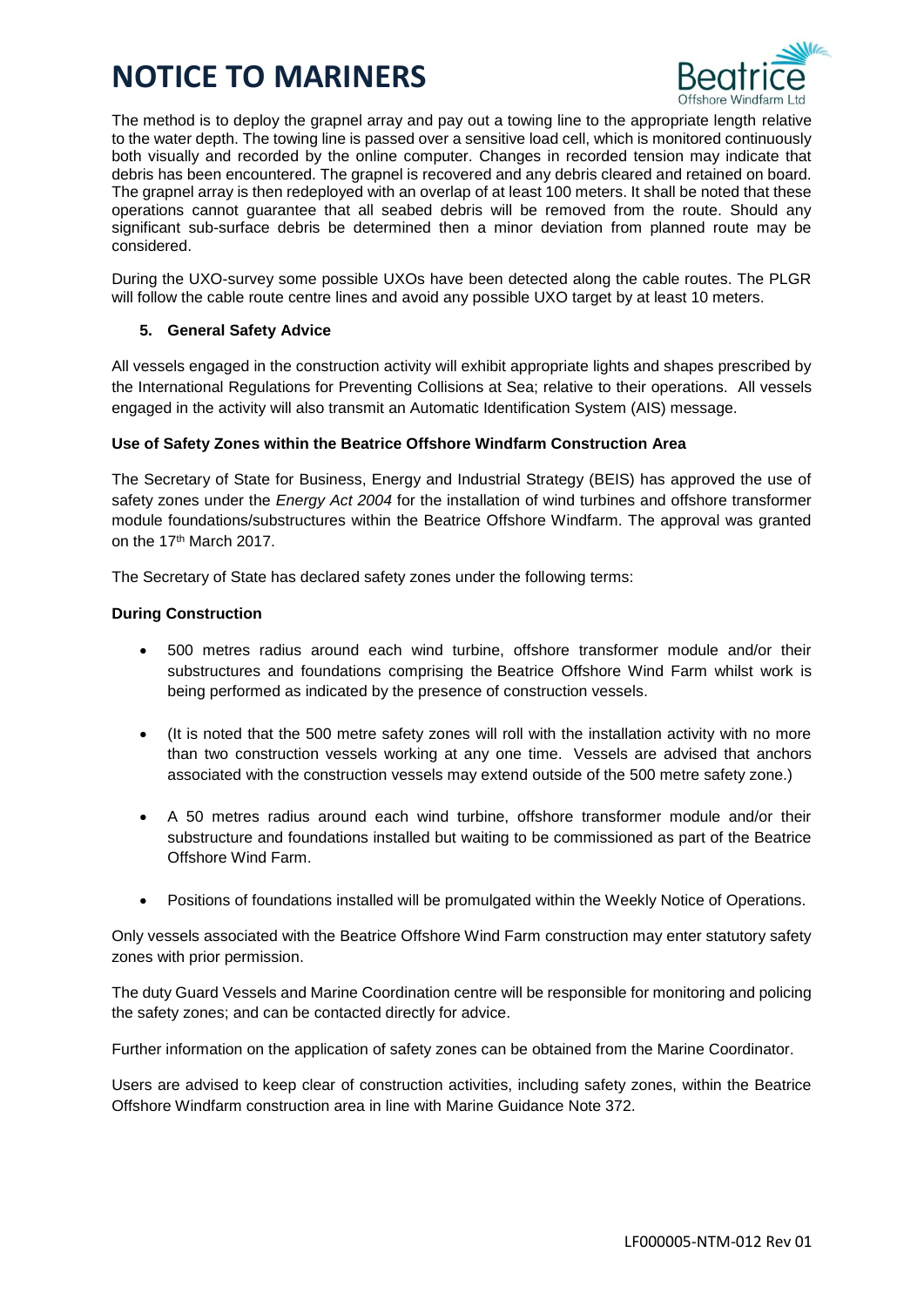

The method is to deploy the grapnel array and pay out a towing line to the appropriate length relative to the water depth. The towing line is passed over a sensitive load cell, which is monitored continuously both visually and recorded by the online computer. Changes in recorded tension may indicate that debris has been encountered. The grapnel is recovered and any debris cleared and retained on board. The grapnel array is then redeployed with an overlap of at least 100 meters. It shall be noted that these operations cannot guarantee that all seabed debris will be removed from the route. Should any significant sub-surface debris be determined then a minor deviation from planned route may be considered.

During the UXO-survey some possible UXOs have been detected along the cable routes. The PLGR will follow the cable route centre lines and avoid any possible UXO target by at least 10 meters.

## **5. General Safety Advice**

All vessels engaged in the construction activity will exhibit appropriate lights and shapes prescribed by the International Regulations for Preventing Collisions at Sea; relative to their operations. All vessels engaged in the activity will also transmit an Automatic Identification System (AIS) message.

## **Use of Safety Zones within the Beatrice Offshore Windfarm Construction Area**

The Secretary of State for Business, Energy and Industrial Strategy (BEIS) has approved the use of safety zones under the *Energy Act 2004* for the installation of wind turbines and offshore transformer module foundations/substructures within the Beatrice Offshore Windfarm. The approval was granted on the 17th March 2017.

The Secretary of State has declared safety zones under the following terms:

## **During Construction**

- 500 metres radius around each wind turbine, offshore transformer module and/or their substructures and foundations comprising the Beatrice Offshore Wind Farm whilst work is being performed as indicated by the presence of construction vessels.
- (It is noted that the 500 metre safety zones will roll with the installation activity with no more than two construction vessels working at any one time. Vessels are advised that anchors associated with the construction vessels may extend outside of the 500 metre safety zone.)
- A 50 metres radius around each wind turbine, offshore transformer module and/or their substructure and foundations installed but waiting to be commissioned as part of the Beatrice Offshore Wind Farm.
- Positions of foundations installed will be promulgated within the Weekly Notice of Operations.

Only vessels associated with the Beatrice Offshore Wind Farm construction may enter statutory safety zones with prior permission.

The duty Guard Vessels and Marine Coordination centre will be responsible for monitoring and policing the safety zones; and can be contacted directly for advice.

Further information on the application of safety zones can be obtained from the Marine Coordinator.

Users are advised to keep clear of construction activities, including safety zones, within the Beatrice Offshore Windfarm construction area in line with Marine Guidance Note 372.